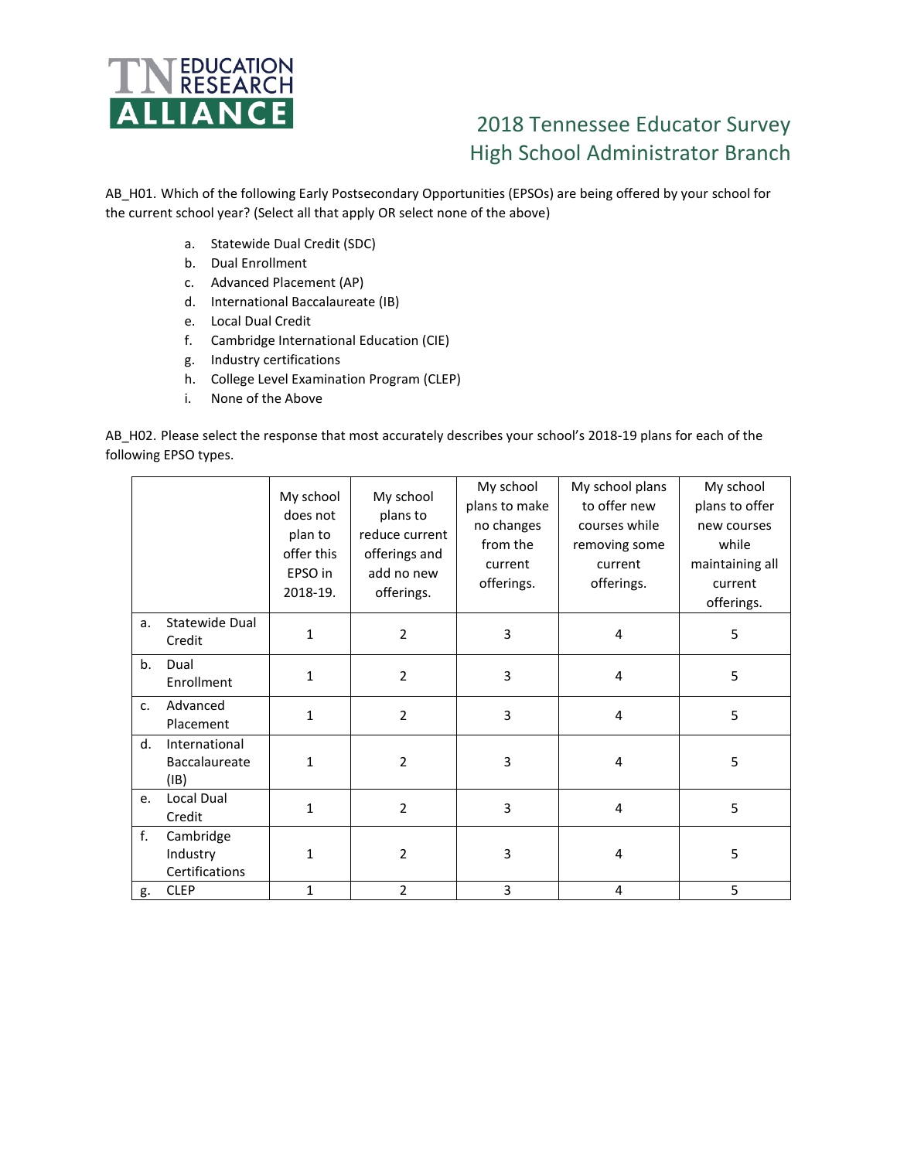

## 2018 Tennessee Educator Survey High School Administrator Branch

AB\_H01. Which of the following Early Postsecondary Opportunities (EPSOs) are being offered by your school for the current school year? (Select all that apply OR select none of the above)

- a. Statewide Dual Credit (SDC)
- b. Dual Enrollment
- c. Advanced Placement (AP)
- d. International Baccalaureate (IB)
- e. Local Dual Credit
- f. Cambridge International Education (CIE)
- g. Industry certifications
- h. College Level Examination Program (CLEP)
- i. None of the Above

AB\_H02. Please select the response that most accurately describes your school's 2018-19 plans for each of the following EPSO types.

|    |                                         | My school<br>does not<br>plan to<br>offer this<br>EPSO in<br>2018-19. | My school<br>plans to<br>reduce current<br>offerings and<br>add no new<br>offerings. | My school<br>plans to make<br>no changes<br>from the<br>current<br>offerings. | My school plans<br>to offer new<br>courses while<br>removing some<br>current<br>offerings. | My school<br>plans to offer<br>new courses<br>while<br>maintaining all<br>current<br>offerings. |
|----|-----------------------------------------|-----------------------------------------------------------------------|--------------------------------------------------------------------------------------|-------------------------------------------------------------------------------|--------------------------------------------------------------------------------------------|-------------------------------------------------------------------------------------------------|
| a. | Statewide Dual<br>Credit                | 1                                                                     | $\overline{2}$                                                                       | 3                                                                             | $\overline{4}$                                                                             | 5                                                                                               |
| b. | Dual<br>Enrollment                      | $\mathbf{1}$                                                          | $\overline{2}$                                                                       | $\overline{3}$                                                                | $\overline{4}$                                                                             | 5                                                                                               |
| c. | Advanced<br>Placement                   | $\mathbf{1}$                                                          | $\overline{2}$                                                                       | 3                                                                             | 4                                                                                          | 5                                                                                               |
| d. | International<br>Baccalaureate<br>(IB)  | 1                                                                     | $\overline{2}$                                                                       | 3                                                                             | $\overline{4}$                                                                             | 5                                                                                               |
| e. | Local Dual<br>Credit                    | 1                                                                     | $\overline{2}$                                                                       | 3                                                                             | $\overline{4}$                                                                             | 5                                                                                               |
| f. | Cambridge<br>Industry<br>Certifications | 1                                                                     | $\overline{2}$                                                                       | 3                                                                             | 4                                                                                          | 5                                                                                               |
| g. | <b>CLEP</b>                             | $\mathbf{1}$                                                          | $\overline{2}$                                                                       | 3                                                                             | 4                                                                                          | 5                                                                                               |